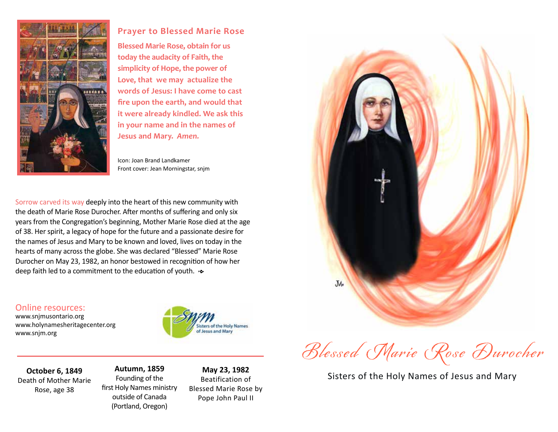

## **Prayer to Blessed Marie Rose**

**Blessed Marie Rose, obtain for us today the audacity of Faith, the simplicity of Hope, the power of Love, that we may actualize the words of Jesus: I have come to cast fire upon the earth, and would that it were already kindled. We ask this in your name and in the names of Jesus and Mary.** *Amen.*

Icon: Joan Brand Landkamer Front cover: Jean Morningstar, snjm

Sorrow carved its way deeply into the heart of this new community with the death of Marie Rose Durocher. After months of suffering and only six years from the Congregation's beginning, Mother Marie Rose died at the age of 38. Her spirit, a legacy of hope for the future and a passionate desire for the names of Jesus and Mary to be known and loved, lives on today in the hearts of many across the globe. She was declared "Blessed" Marie Rose Durocher on May 23, 1982, an honor bestowed in recognition of how her deep faith led to a commitment to the education of youth.  $\sim$ 

## Online resources:

www.snjmusontario.org www.holynamesheritagecenter.org www.snjm.org





Blessed Marie Rose Durocher

Sisters of the Holy Names of Jesus and Mary **May 23, 1982**

**October 6, 1849** Death of Mother Marie Rose, age 38

**Autumn, 1859** Founding of the first Holy Names ministry outside of Canada (Portland, Oregon)

Beatification of Blessed Marie Rose by Pope John Paul II